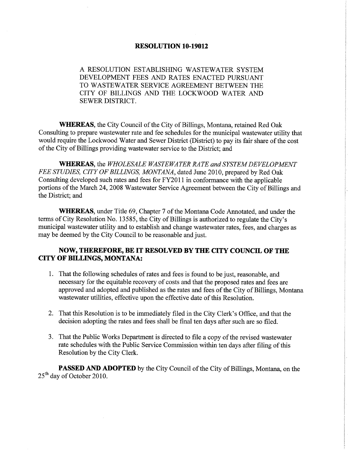#### RESOLUTION 10-19012

A RESOLUTION ESTABLISHING WASTEWATER SYSTEM DEVELOPMENT FEES AND RATES ENACTED PURSUANT TO WASTEWATER SERVICE AGREEMENT BETWEEN THE CITY OF BILLINGS AND THE LOCKWOOD WATER AND SEWER DISTRICT.

**WHEREAS**, the City Council of the City of Billings, Montana, retained Red Oak Consulting to prepare wastewater rate and fee schedules for the municipal wastewater utility that would require the Lockwood Water and Sewer District (District) to pay its fair share of the cost of the City of Billings providing wastewater service to the District; and

**WHEREAS**, the WHOLESALE WASTEWATER RATE and SYSTEM DEVELOPMENT FEE STUDIES, CITY OF BILLINGS, MONTANA, dated June 2010, prepared by Red Oak Consulting developed such rates and fees for FY2011 in conformance with the applicable portions of the March 24,2008 Wastewater Service Agreement between the City of Billings and the District; and

WHEREAS, under Title 69, Chapter 7 of the Montana Code Annotated, and under the terms of City Resolution No. 13585, the City of Billings is authorized to regulate the City's municipal wastewater utility and to establish and change wastewater rates, fees, and charges as may be deemed by the City Council to be reasonable and just.

## NOW, THEREFORE, BE IT RESOLVED BY THE CITY COUNCIL OF THE CITY OF BILLINGS, MONTANA:

- 1. That the following schedules of rates and fees is found to be just, reasonable, and necessary for the equitable recovery of costs and that the proposed rates and fees are approved and adopted and published as the rates and fees of the City of Billings, Montana wastewater utilities, effective upon the effective date of this Resolution.
- 2. That this Resolution is to be immediately filed in the City Clerk's Office, and that the decision adopting the rates and fees shall be final ten days after such are so filed.
- 3. That the Public Works Department is directed to file a copy of the revised wastewater rate schedules with the Public Service Commission within ten days after filing of this Resolution by the City Clerk.

PASSED AND ADOPTED by the City Council of the City of Billings, Montana, on the 25'h day of October 2010.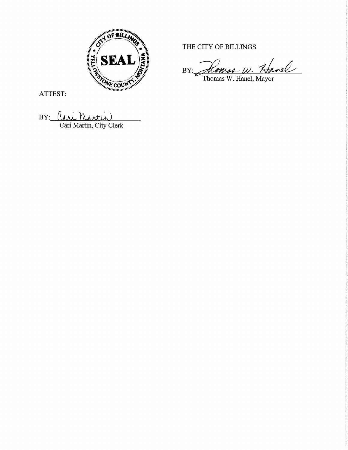

ATTEST:

BY: Cari Martin

THE CITY OF BILLINGS

Hanel BY:  $\omega$ . omss

Thomas W. Hanel, Mayor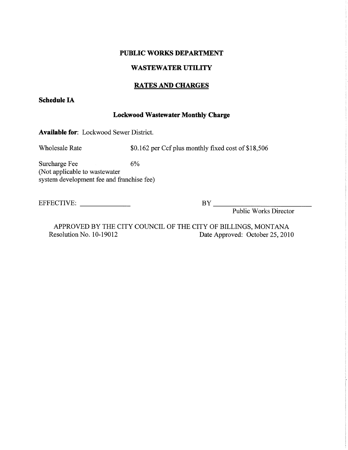#### PUBLIC WORKS DEPARTMENT

# WASTEWATER UTILITY

# RATES AND CHARGES

## Schedule IA

#### Lockwood Wastewater Monthly Charge

Available for: Lockwood Sewer District.

Wholesale Rate \$0.162 per Ccf plus monthly fixed cost of \$18,506

Surcharge Fee 6% (Not applicable to wastewater system development fee and franchise fee)

EFFECTIVE: BY BY

Public Works Director

APPROVED BY THE CITY COUNCIL OF THE CITY OF BILLINGS, MONTANA<br>Resolution No. 10-19012 Date Approved: October 25, 201 Date Approved: October 25, 2010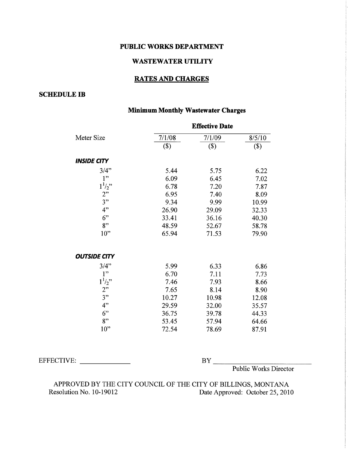#### PUBLIC WORKS DEPARTMENT

## **WASTEWATER UTILITY**

#### **RATES AND CHARGES**

## **SCHEDULE IB**

# **Minimum Monthly Wastewater Charges**

|                     | <b>Effective Date</b> |        |        |
|---------------------|-----------------------|--------|--------|
| Meter Size          | 7/1/08                | 7/1/09 | 8/5/10 |
|                     | $($)$                 | $(\$)$ | $(\$)$ |
| <b>INSIDE CITY</b>  |                       |        |        |
| 3/4"                | 5.44                  | 5.75   | 6.22   |
| 1"                  | 6.09                  | 6.45   | 7.02   |
| $1^{1/2}$           | 6.78                  | 7.20   | 7.87   |
| 2"                  | 6.95                  | 7.40   | 8.09   |
| 3"                  | 9.34                  | 9.99   | 10.99  |
| 4"                  | 26.90                 | 29.09  | 32.33  |
| $6$ "               | 33.41                 | 36.16  | 40.30  |
| 8"                  | 48.59                 | 52.67  | 58.78  |
| 10"                 | 65.94                 | 71.53  | 79.90  |
| <b>OUTSIDE CITY</b> |                       |        |        |
| 3/4"                | 5.99                  | 6.33   | 6.86   |
| 1"                  | 6.70                  | 7.11   | 7.73   |
| $1^{1/2}$           | 7.46                  | 7.93   | 8.66   |
| 2"                  | 7.65                  | 8.14   | 8.90   |
| 3"                  | 10.27                 | 10.98  | 12.08  |
| 4"                  | 29.59                 | 32.00  | 35.57  |
| 6"                  | 36.75                 | 39.78  | 44.33  |
| 8"                  | 53.45                 | 57.94  | 64.66  |
| $10$ "              | 72.54                 | 78.69  | 87.91  |

EFFECTIVE:

BY Public Works Director

APPROVED BY THE CITY COUNCIL OF THE CITY OF BILLINGS, MONTANA Date Approved: October 25, 2010 Resolution No. 10-19012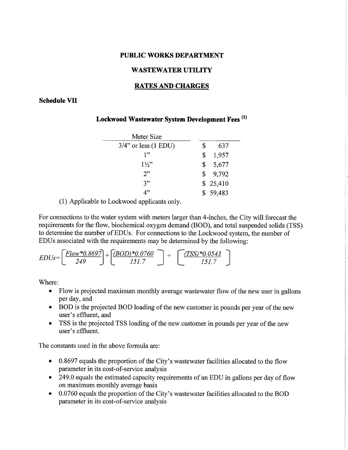#### PUBLIC WORKS DEPARTMENT

#### WASTEWATER UTILITY

#### RATES AND CHARGES

#### Schedule VII

## Lockwood Wastewater System Development Fees<sup>(1)</sup>

| Meter Size              |             |
|-------------------------|-------------|
| $3/4$ " or less (1 EDU) | \$<br>637   |
| 1"                      | \$<br>1,957 |
| $1\frac{1}{2}$          | \$<br>5,677 |
| 2"                      | \$9,792     |
| 3"                      | \$25,410    |
| 1"                      | \$59,483    |

(1) Applicable to Lockwood applicants only.

For connections to the water system with meters larger than 4-inches, the City will forecast the requirements for the flow, biochemical oxygen demand (BOD), and total suspended solids (TSS) to determine the number of EDUs. For connections to the Lockwood system, the number of EDUs associated with the requirements may be determined by the following:

$$
EDUs = \left[\frac{Flow * 0.8697}{249}\right] + \left[\frac{(BOD) * 0.0760}{151.7}\right] + \left[\frac{(TSS) * 0.0543}{151.7}\right]
$$

Where:

- Flow is projected maximum monthly average wastewater flow of the new user in gallons per day, and
- BOD is the projected BOD loading of the new customer in pounds per year of the new user's effluent, and
- TSS is the projected TSS loading of the new customer in pounds per year of the new user's effluent.

The constants used in the above formula are:

- $\bullet$  0.8697 equals the proportion of the City's wastewater facilities allocated to the flow parameter in its cost-of-service analysis
- 249.0 equals the estimated capacity requirements of an EDU in gallons per day of flow on maximum monthly average basis
- 0.0760 equals the proportion of the City's wastewater facilities allocated to the BOD parameter in its cost-of-service analysis